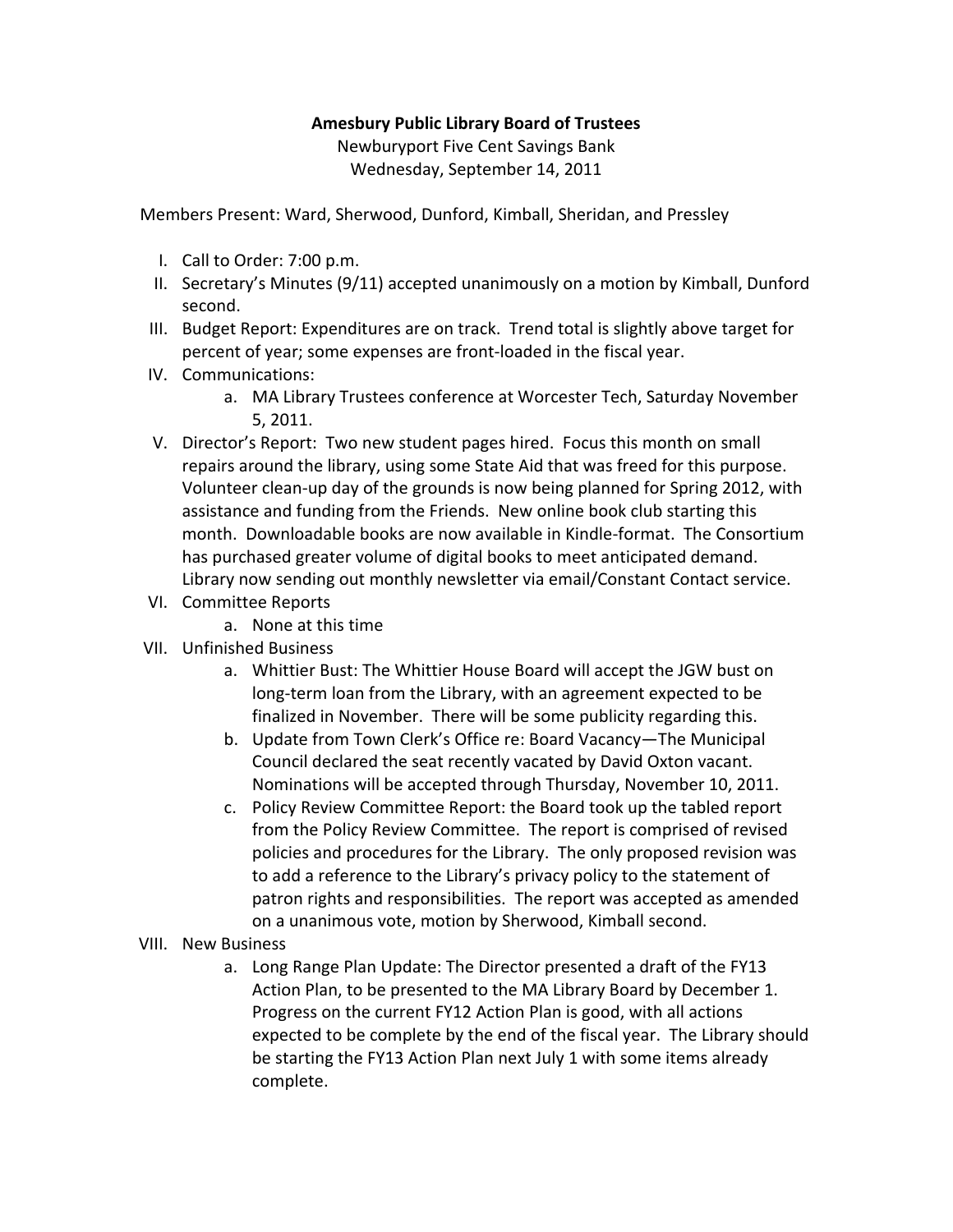## **Amesbury Public Library Board of Trustees**

Newburyport Five Cent Savings Bank Wednesday, September 14, 2011

Members Present: Ward, Sherwood, Dunford, Kimball, Sheridan, and Pressley

- I. Call to Order: 7:00 p.m.
- II. Secretary's Minutes (9/11) accepted unanimously on a motion by Kimball, Dunford second.
- III. Budget Report: Expenditures are on track. Trend total is slightly above target for percent of year; some expenses are front‐loaded in the fiscal year.
- IV. Communications:
	- a. MA Library Trustees conference at Worcester Tech, Saturday November 5, 2011.
- V. Director's Report: Two new student pages hired. Focus this month on small repairs around the library, using some State Aid that was freed for this purpose. Volunteer clean‐up day of the grounds is now being planned for Spring 2012, with assistance and funding from the Friends. New online book club starting this month. Downloadable books are now available in Kindle‐format. The Consortium has purchased greater volume of digital books to meet anticipated demand. Library now sending out monthly newsletter via email/Constant Contact service.
- VI. Committee Reports
	- a. None at this time
- VII. Unfinished Business
	- a. Whittier Bust: The Whittier House Board will accept the JGW bust on long‐term loan from the Library, with an agreement expected to be finalized in November. There will be some publicity regarding this.
	- b. Update from Town Clerk's Office re: Board Vacancy—The Municipal Council declared the seat recently vacated by David Oxton vacant. Nominations will be accepted through Thursday, November 10, 2011.
	- c. Policy Review Committee Report: the Board took up the tabled report from the Policy Review Committee. The report is comprised of revised policies and procedures for the Library. The only proposed revision was to add a reference to the Library's privacy policy to the statement of patron rights and responsibilities. The report was accepted as amended on a unanimous vote, motion by Sherwood, Kimball second.
- VIII. New Business
	- a. Long Range Plan Update: The Director presented a draft of the FY13 Action Plan, to be presented to the MA Library Board by December 1. Progress on the current FY12 Action Plan is good, with all actions expected to be complete by the end of the fiscal year. The Library should be starting the FY13 Action Plan next July 1 with some items already complete.